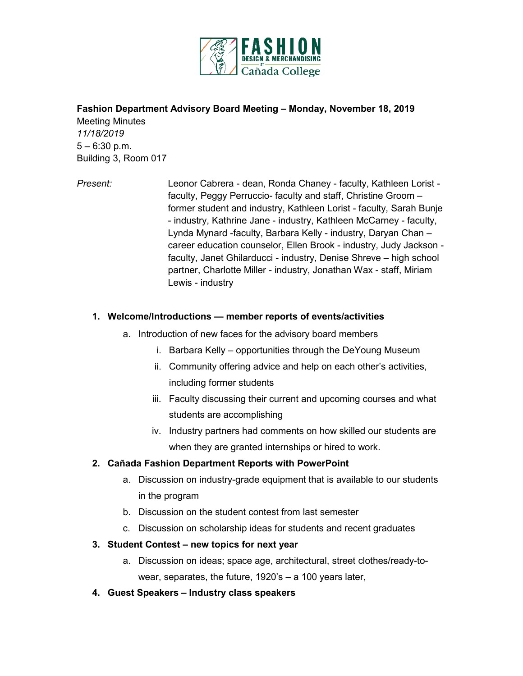

## **Fashion Department Advisory Board Meeting – Monday, November 18, 2019**

Meeting Minutes *11/18/2019*  $5 - 6:30$  p.m. Building 3, Room 017

*Present:* Leonor Cabrera - dean, Ronda Chaney - faculty, Kathleen Lorist faculty, Peggy Perruccio- faculty and staff, Christine Groom – former student and industry, Kathleen Lorist - faculty, Sarah Bunje - industry, Kathrine Jane - industry, Kathleen McCarney - faculty, Lynda Mynard -faculty, Barbara Kelly - industry, Daryan Chan – career education counselor, Ellen Brook - industry, Judy Jackson faculty, Janet Ghilarducci - industry, Denise Shreve – high school partner, Charlotte Miller - industry, Jonathan Wax - staff, Miriam Lewis - industry

#### **1. Welcome/Introductions — member reports of events/activities**

- a. Introduction of new faces for the advisory board members
	- i. Barbara Kelly opportunities through the DeYoung Museum
	- ii. Community offering advice and help on each other's activities, including former students
	- iii. Faculty discussing their current and upcoming courses and what students are accomplishing
	- iv. Industry partners had comments on how skilled our students are when they are granted internships or hired to work.

#### **2. Cañada Fashion Department Reports with PowerPoint**

- a. Discussion on industry-grade equipment that is available to our students in the program
- b. Discussion on the student contest from last semester
- c. Discussion on scholarship ideas for students and recent graduates

#### **3. Student Contest – new topics for next year**

- a. Discussion on ideas; space age, architectural, street clothes/ready-towear, separates, the future, 1920's – a 100 years later,
- **4. Guest Speakers – Industry class speakers**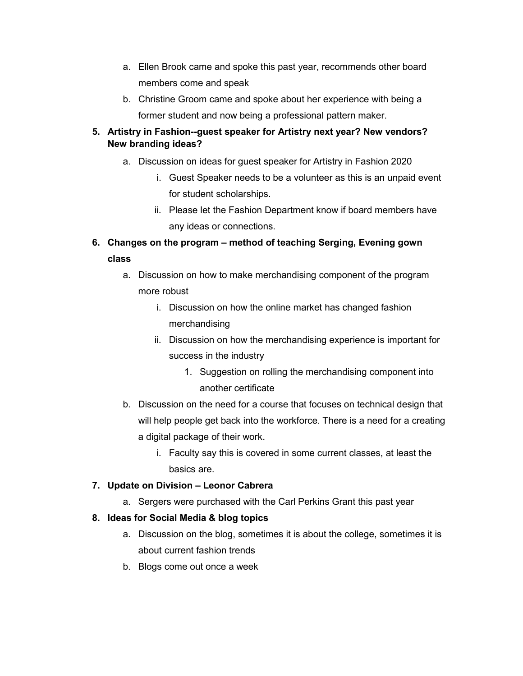- a. Ellen Brook came and spoke this past year, recommends other board members come and speak
- b. Christine Groom came and spoke about her experience with being a former student and now being a professional pattern maker.

## **5. Artistry in Fashion--guest speaker for Artistry next year? New vendors? New branding ideas?**

- a. Discussion on ideas for guest speaker for Artistry in Fashion 2020
	- i. Guest Speaker needs to be a volunteer as this is an unpaid event for student scholarships.
	- ii. Please let the Fashion Department know if board members have any ideas or connections.
- **6. Changes on the program – method of teaching Serging, Evening gown class**
	- a. Discussion on how to make merchandising component of the program more robust
		- i. Discussion on how the online market has changed fashion merchandising
		- ii. Discussion on how the merchandising experience is important for success in the industry
			- 1. Suggestion on rolling the merchandising component into another certificate
	- b. Discussion on the need for a course that focuses on technical design that will help people get back into the workforce. There is a need for a creating a digital package of their work.
		- i. Faculty say this is covered in some current classes, at least the basics are.

# **7. Update on Division – Leonor Cabrera**

a. Sergers were purchased with the Carl Perkins Grant this past year

# **8. Ideas for Social Media & blog topics**

- a. Discussion on the blog, sometimes it is about the college, sometimes it is about current fashion trends
- b. Blogs come out once a week